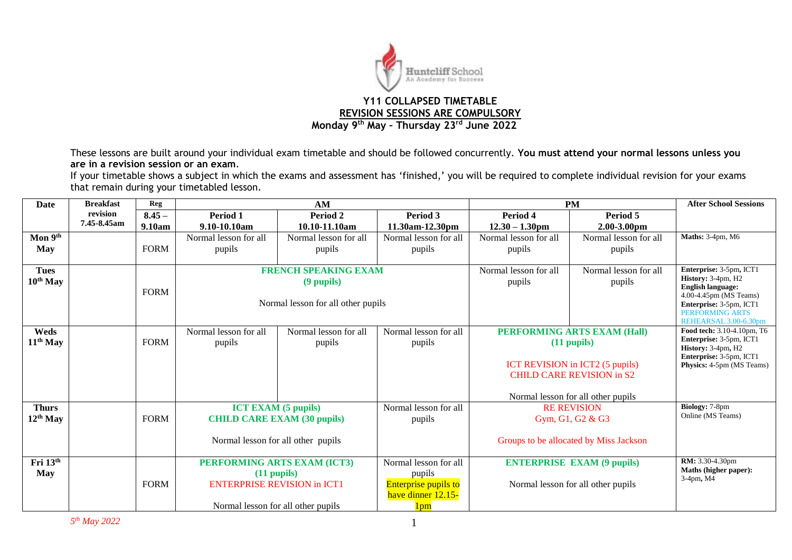

These lessons are built around your individual exam timetable and should be followed concurrently. **You must attend your normal lessons unless you are in a revision session or an exam**.

If your timetable shows a subject in which the exams and assessment has 'finished,' you will be required to complete individual revision for your exams that remain during your timetabled lesson.

| <b>Date</b>         | <b>Breakfast</b> | <b>Reg</b>  |                                                 | AM                                 |                       | <b>PM</b>                                                           | <b>After School Sessions</b>           |                                                       |
|---------------------|------------------|-------------|-------------------------------------------------|------------------------------------|-----------------------|---------------------------------------------------------------------|----------------------------------------|-------------------------------------------------------|
|                     | revision         | $8.45 -$    | Period 1                                        | Period 2                           | Period 3              | Period 4                                                            | Period 5                               |                                                       |
|                     | 7.45-8.45am      | 9.10am      | 9.10-10.10am                                    | 10.10-11.10am                      | 11.30am-12.30pm       | $12.30 - 1.30$ pm                                                   | $2.00 - 3.00$ pm                       |                                                       |
| Mon 9 <sup>th</sup> |                  |             | Normal lesson for all                           | Normal lesson for all              | Normal lesson for all | Normal lesson for all                                               | Normal lesson for all                  | Maths: 3-4pm, M6                                      |
| May                 |                  | <b>FORM</b> | pupils                                          | pupils                             | pupils                | pupils                                                              | pupils                                 |                                                       |
|                     |                  |             |                                                 |                                    |                       |                                                                     |                                        |                                                       |
| <b>Tues</b>         |                  |             |                                                 | <b>FRENCH SPEAKING EXAM</b>        |                       | Normal lesson for all                                               | Normal lesson for all                  | Enterprise: 3-5pm, ICT1<br>History: 3-4pm, H2         |
| $10^{th}$ May       |                  | <b>FORM</b> |                                                 | (9 pupils)                         |                       | pupils                                                              | pupils                                 | <b>English language:</b>                              |
|                     |                  |             |                                                 | Normal lesson for all other pupils |                       |                                                                     |                                        | 4.00-4.45pm (MS Teams)<br>Enterprise: 3-5pm, ICT1     |
|                     |                  |             |                                                 |                                    |                       |                                                                     |                                        | PERFORMING ARTS                                       |
|                     |                  |             |                                                 |                                    |                       |                                                                     |                                        | REHEARSAL 3.00-6.30pm                                 |
| Weds                |                  |             | Normal lesson for all                           | Normal lesson for all              | Normal lesson for all |                                                                     | <b>PERFORMING ARTS EXAM (Hall)</b>     | Food tech: 3.10-4.10pm, T6<br>Enterprise: 3-5pm, ICT1 |
| $11th$ May          |                  | <b>FORM</b> | pupils                                          | pupils                             | pupils                |                                                                     | $(11$ pupils)                          | History: 3-4pm, H2                                    |
|                     |                  |             |                                                 |                                    |                       |                                                                     |                                        | Enterprise: 3-5pm, ICT1                               |
|                     |                  |             |                                                 |                                    |                       | ICT REVISION in ICT2 (5 pupils)<br><b>CHILD CARE REVISION in S2</b> |                                        | Physics: 4-5pm (MS Teams)                             |
|                     |                  |             |                                                 |                                    |                       |                                                                     |                                        |                                                       |
|                     |                  |             |                                                 |                                    |                       |                                                                     | Normal lesson for all other pupils     |                                                       |
| <b>Thurs</b>        |                  |             | <b>ICT EXAM (5 pupils)</b>                      |                                    | Normal lesson for all | <b>RE REVISION</b>                                                  |                                        | Biology: 7-8pm                                        |
| $12^{th}$ May       |                  | <b>FORM</b> | <b>CHILD CARE EXAM (30 pupils)</b>              |                                    | pupils                | Gym, G1, G2 & G3                                                    |                                        | Online (MS Teams)                                     |
|                     |                  |             |                                                 |                                    |                       |                                                                     |                                        |                                                       |
|                     |                  |             |                                                 | Normal lesson for all other pupils |                       |                                                                     | Groups to be allocated by Miss Jackson |                                                       |
| Fri 13th            |                  |             |                                                 |                                    | Normal lesson for all |                                                                     |                                        | RM: 3.30-4.30pm                                       |
| <b>May</b>          |                  |             | PERFORMING ARTS EXAM (ICT3)<br>$(11$ pupils $)$ |                                    | pupils                |                                                                     | <b>ENTERPRISE EXAM (9 pupils)</b>      | Maths (higher paper):                                 |
|                     |                  | <b>FORM</b> | <b>ENTERPRISE REVISION in ICT1</b>              |                                    | Enterprise pupils to  | Normal lesson for all other pupils                                  | 3-4pm, M4                              |                                                       |
|                     |                  |             |                                                 |                                    | have dinner 12.15-    |                                                                     |                                        |                                                       |
|                     |                  |             | Normal lesson for all other pupils              |                                    | 1 <sub>pm</sub>       |                                                                     |                                        |                                                       |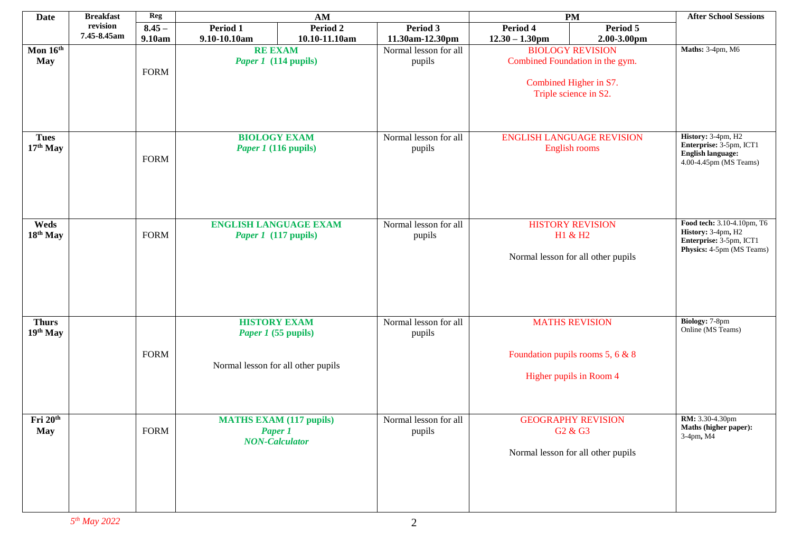| <b>Date</b>                 | <b>Breakfast</b> | Reg         | AM                                                                                      |               |                                 | <b>PM</b>                                                                                                     | <b>After School Sessions</b> |                                                                                                          |
|-----------------------------|------------------|-------------|-----------------------------------------------------------------------------------------|---------------|---------------------------------|---------------------------------------------------------------------------------------------------------------|------------------------------|----------------------------------------------------------------------------------------------------------|
|                             | revision         | $8.45 -$    | Period 1                                                                                | Period 2      | Period 3                        | Period 4                                                                                                      | Period 5                     |                                                                                                          |
|                             | 7.45-8.45am      | 9.10am      | 9.10-10.10am                                                                            | 10.10-11.10am | 11.30am-12.30pm                 | $12.30 - 1.30$ pm                                                                                             | 2.00-3.00pm                  |                                                                                                          |
| Mon $16^{th}$<br><b>May</b> |                  | <b>FORM</b> | <b>RE EXAM</b><br>Paper 1 (114 pupils)                                                  |               | Normal lesson for all<br>pupils | <b>BIOLOGY REVISION</b><br>Combined Foundation in the gym.<br>Combined Higher in S7.<br>Triple science in S2. |                              | Maths: 3-4pm, M6                                                                                         |
| <b>Tues</b><br>$17th$ May   |                  | <b>FORM</b> | <b>BIOLOGY EXAM</b><br><i>Paper 1</i> (116 pupils)                                      |               | Normal lesson for all<br>pupils | <b>ENGLISH LANGUAGE REVISION</b><br>English rooms                                                             |                              | History: 3-4pm, H2<br>Enterprise: 3-5pm, ICT1<br><b>English language:</b><br>4.00-4.45pm (MS Teams)      |
| Weds<br>18th May            |                  | <b>FORM</b> | <b>ENGLISH LANGUAGE EXAM</b><br><i>Paper 1</i> (117 pupils)                             |               | Normal lesson for all<br>pupils | <b>HISTORY REVISION</b><br>H1 & H2<br>Normal lesson for all other pupils                                      |                              | Food tech: 3.10-4.10pm, T6<br>History: 3-4pm, H2<br>Enterprise: 3-5pm, ICT1<br>Physics: 4-5pm (MS Teams) |
| <b>Thurs</b><br>19th May    |                  | <b>FORM</b> | <b>HISTORY EXAM</b><br><i>Paper 1</i> (55 pupils)<br>Normal lesson for all other pupils |               | Normal lesson for all<br>pupils | <b>MATHS REVISION</b><br>Foundation pupils rooms 5, 6 & 8<br>Higher pupils in Room 4                          |                              | Biology: 7-8pm<br>Online (MS Teams)                                                                      |
| Fri 20th<br><b>May</b>      |                  | <b>FORM</b> | <b>MATHS EXAM (117 pupils)</b><br><b>Paper 1</b><br><b>NON-Calculator</b>               |               | Normal lesson for all<br>pupils | <b>GEOGRAPHY REVISION</b><br>G2 & G3<br>Normal lesson for all other pupils                                    |                              | RM: 3.30-4.30pm<br>Maths (higher paper):<br>3-4pm, M4                                                    |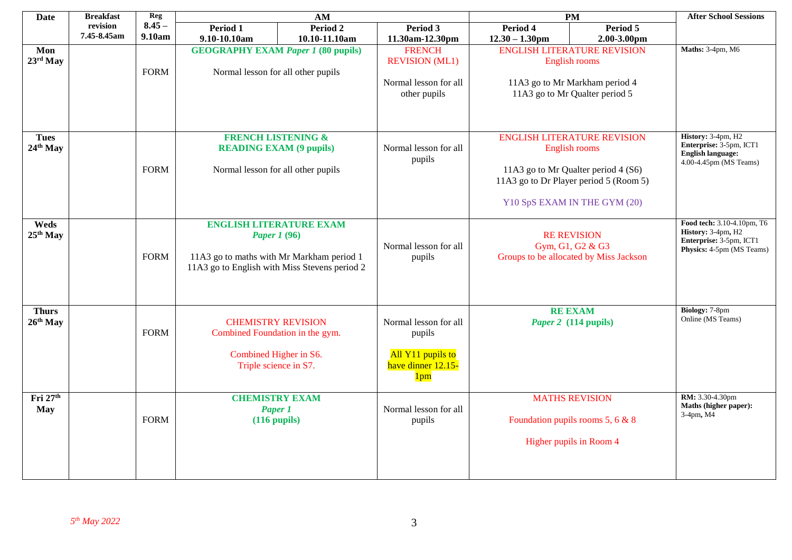| <b>Date</b>              | <b>Breakfast</b> | Reg         | AM<br><b>PM</b>                                                                                                                                                                                                                                                              |                                                                                                                                                                                                                  |                                 | <b>After School Sessions</b>                                                                                                                                         |                                                                                  |                                                                                                                            |
|--------------------------|------------------|-------------|------------------------------------------------------------------------------------------------------------------------------------------------------------------------------------------------------------------------------------------------------------------------------|------------------------------------------------------------------------------------------------------------------------------------------------------------------------------------------------------------------|---------------------------------|----------------------------------------------------------------------------------------------------------------------------------------------------------------------|----------------------------------------------------------------------------------|----------------------------------------------------------------------------------------------------------------------------|
|                          | revision         | $8.45 -$    | Period 1                                                                                                                                                                                                                                                                     | Period 2                                                                                                                                                                                                         | Period 3                        | Period 4                                                                                                                                                             | Period 5                                                                         |                                                                                                                            |
|                          | 7.45-8.45am      | 9.10am      | 9.10-10.10am                                                                                                                                                                                                                                                                 | 10.10-11.10am                                                                                                                                                                                                    | 11.30am-12.30pm                 | $12.30 - 1.30$ pm                                                                                                                                                    | 2.00-3.00pm                                                                      |                                                                                                                            |
| Mon<br>$23rd$ May        |                  | <b>FORM</b> | <b>ENGLISH LITERATURE REVISION</b><br><b>GEOGRAPHY EXAM Paper 1 (80 pupils)</b><br><b>REVISION</b> (ML1)<br>English rooms<br>Normal lesson for all other pupils<br>Normal lesson for all<br>11A3 go to Mr Markham period 4<br>other pupils<br>11A3 go to Mr Qualter period 5 |                                                                                                                                                                                                                  | <b>FRENCH</b>                   |                                                                                                                                                                      |                                                                                  | Maths: 3-4pm, M6                                                                                                           |
|                          |                  |             |                                                                                                                                                                                                                                                                              |                                                                                                                                                                                                                  |                                 |                                                                                                                                                                      |                                                                                  |                                                                                                                            |
| <b>Tues</b><br>24th May  |                  | <b>FORM</b> | <b>FRENCH LISTENING &amp;</b><br><b>READING EXAM (9 pupils)</b><br>Normal lesson for all other pupils                                                                                                                                                                        |                                                                                                                                                                                                                  | Normal lesson for all<br>pupils | <b>ENGLISH LITERATURE REVISION</b><br>English rooms<br>11A3 go to Mr Qualter period 4 (S6)<br>11A3 go to Dr Player period 5 (Room 5)<br>Y10 SpS EXAM IN THE GYM (20) |                                                                                  | History: 3-4pm, H2<br>Enterprise: 3-5pm, ICT1<br>English language:<br>4.00-4.45pm (MS Teams)<br>Food tech: 3.10-4.10pm, T6 |
| Weds<br>$25th$ May       |                  | <b>FORM</b> | <b>ENGLISH LITERATURE EXAM</b><br><b>Paper 1 (96)</b><br>11A3 go to maths with Mr Markham period 1<br>11A3 go to English with Miss Stevens period 2                                                                                                                          |                                                                                                                                                                                                                  | Normal lesson for all<br>pupils |                                                                                                                                                                      | <b>RE REVISION</b><br>Gym, G1, G2 & G3<br>Groups to be allocated by Miss Jackson |                                                                                                                            |
| <b>Thurs</b><br>26th May |                  | <b>FORM</b> |                                                                                                                                                                                                                                                                              | Normal lesson for all<br><b>CHEMISTRY REVISION</b><br>Combined Foundation in the gym.<br>pupils<br>All Y11 pupils to<br>Combined Higher in S6.<br>Triple science in S7.<br>have dinner 12.15-<br>1 <sub>pm</sub> |                                 |                                                                                                                                                                      | <b>RE EXAM</b><br>Paper 2 (114 pupils)                                           | Biology: 7-8pm<br>Online (MS Teams)                                                                                        |
| Fri 27th<br><b>May</b>   |                  | <b>FORM</b> | <b>CHEMISTRY EXAM</b><br>Paper 1<br>$(116$ pupils $)$                                                                                                                                                                                                                        |                                                                                                                                                                                                                  | Normal lesson for all<br>pupils | <b>MATHS REVISION</b><br>Foundation pupils rooms 5, 6 & 8<br>Higher pupils in Room 4                                                                                 |                                                                                  | RM: 3.30-4.30pm<br>Maths (higher paper):<br>$3-4$ pm, M $4$                                                                |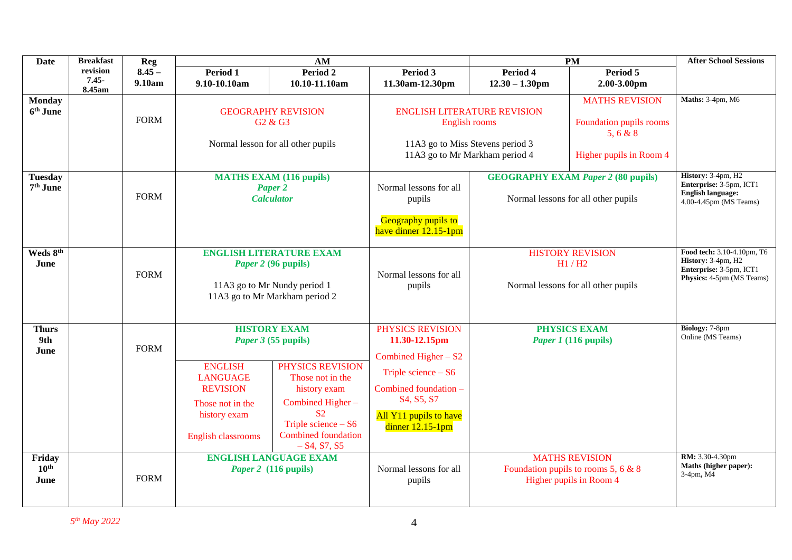| <b>Date</b>                            | <b>Breakfast</b>               | Reg                |                                                                                                                         | AM                                                                                                                                                                                                                |                                                                                                                                                                                                                      |                                                                                  | <b>PM</b>                                                                               | <b>After School Sessions</b>                                                                             |
|----------------------------------------|--------------------------------|--------------------|-------------------------------------------------------------------------------------------------------------------------|-------------------------------------------------------------------------------------------------------------------------------------------------------------------------------------------------------------------|----------------------------------------------------------------------------------------------------------------------------------------------------------------------------------------------------------------------|----------------------------------------------------------------------------------|-----------------------------------------------------------------------------------------|----------------------------------------------------------------------------------------------------------|
|                                        | revision<br>$7.45 -$<br>8.45am | $8.45 -$<br>9.10am | Period 1<br>9.10-10.10am                                                                                                | Period 2<br>10.10-11.10am                                                                                                                                                                                         | Period 3<br>11.30am-12.30pm                                                                                                                                                                                          | Period 4<br>$12.30 - 1.30$ pm                                                    | Period 5<br>$2.00 - 3.00$ pm                                                            |                                                                                                          |
| <b>Monday</b><br>$6th$ June            |                                | <b>FORM</b>        | <b>GEOGRAPHY REVISION</b><br>G <sub>2</sub> & G <sub>3</sub><br>Normal lesson for all other pupils                      |                                                                                                                                                                                                                   | <b>ENGLISH LITERATURE REVISION</b><br>English rooms<br>11A3 go to Miss Stevens period 3<br>11A3 go to Mr Markham period 4                                                                                            |                                                                                  | <b>MATHS REVISION</b><br>Foundation pupils rooms<br>5, 6 & 8<br>Higher pupils in Room 4 | Maths: 3-4pm, M6                                                                                         |
| <b>Tuesday</b><br>7 <sup>th</sup> June |                                | <b>FORM</b>        | <b>MATHS EXAM (116 pupils)</b><br>Paper <sub>2</sub><br><b>Calculator</b>                                               |                                                                                                                                                                                                                   | Normal lessons for all<br>pupils<br>Geography pupils to<br>have dinner 12.15-1pm                                                                                                                                     | <b>GEOGRAPHY EXAM Paper 2 (80 pupils)</b><br>Normal lessons for all other pupils |                                                                                         | History: 3-4pm, H2<br>Enterprise: 3-5pm, ICT1<br><b>English language:</b><br>4.00-4.45pm (MS Teams)      |
| Weds 8th<br>June                       |                                | <b>FORM</b>        | <b>ENGLISH LITERATURE EXAM</b><br>Paper 2 (96 pupils)<br>11A3 go to Mr Nundy period 1<br>11A3 go to Mr Markham period 2 |                                                                                                                                                                                                                   | Normal lessons for all<br>pupils                                                                                                                                                                                     | <b>HISTORY REVISION</b><br>H1/H2<br>Normal lessons for all other pupils          |                                                                                         | Food tech: 3.10-4.10pm, T6<br>History: 3-4pm, H2<br>Enterprise: 3-5pm, ICT1<br>Physics: 4-5pm (MS Teams) |
| <b>Thurs</b><br>9th<br>June            |                                | <b>FORM</b>        | <b>ENGLISH</b><br><b>LANGUAGE</b><br><b>REVISION</b><br>Those not in the<br>history exam<br><b>English classrooms</b>   | <b>HISTORY EXAM</b><br>Paper 3 (55 pupils)<br>PHYSICS REVISION<br>Those not in the<br>history exam<br>Combined Higher-<br>S <sub>2</sub><br>Triple science $-$ S6<br><b>Combined foundation</b><br>$- S4, S7, S5$ | PHYSICS REVISION<br>11.30-12.15pm<br>Combined Higher $- S2$<br>Triple science $-$ S6<br>Combined foundation -<br>S <sub>4</sub> , S <sub>5</sub> , S <sub>7</sub><br>All Y11 pupils to have<br>dinner $12.15 - 1$ pm | <b>PHYSICS EXAM</b><br><i>Paper 1</i> (116 pupils)                               |                                                                                         | Biology: 7-8pm<br>Online (MS Teams)                                                                      |
| Friday<br>$10^{\text{th}}$<br>June     |                                | <b>FORM</b>        |                                                                                                                         | <b>ENGLISH LANGUAGE EXAM</b><br><i>Paper 2</i> (116 pupils)                                                                                                                                                       | Normal lessons for all<br>pupils                                                                                                                                                                                     |                                                                                  | <b>MATHS REVISION</b><br>Foundation pupils to rooms 5, 6 & 8<br>Higher pupils in Room 4 | RM: 3.30-4.30pm<br>Maths (higher paper):<br>3-4pm, M4                                                    |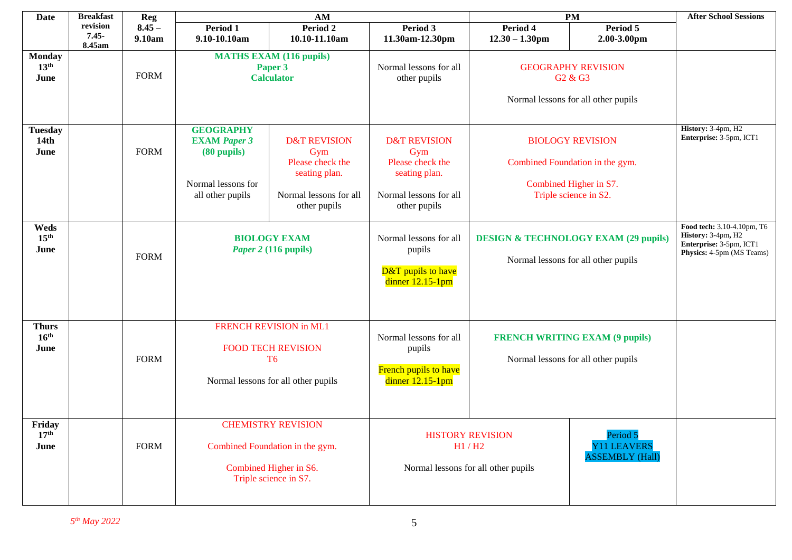| <b>Date</b>                               | <b>Breakfast</b>               | <b>Reg</b>         |                                                                                                                                                                                                                                     | AM                                                                                                            |                                                                                                               | <b>PM</b>                                                                                                | <b>After School Sessions</b>                                                                                  |                                               |
|-------------------------------------------|--------------------------------|--------------------|-------------------------------------------------------------------------------------------------------------------------------------------------------------------------------------------------------------------------------------|---------------------------------------------------------------------------------------------------------------|---------------------------------------------------------------------------------------------------------------|----------------------------------------------------------------------------------------------------------|---------------------------------------------------------------------------------------------------------------|-----------------------------------------------|
|                                           | revision<br>$7.45 -$<br>8.45am | $8.45 -$<br>9.10am | Period 1<br>9.10-10.10am                                                                                                                                                                                                            | Period 2<br>10.10-11.10am                                                                                     | Period 3<br>11.30am-12.30pm                                                                                   | Period 4<br>$12.30 - 1.30$ pm                                                                            | Period 5<br>2.00-3.00pm                                                                                       |                                               |
| <b>Monday</b><br>13 <sup>th</sup><br>June |                                | <b>FORM</b>        | <b>MATHS EXAM (116 pupils)</b><br>Paper 3<br><b>Calculator</b>                                                                                                                                                                      |                                                                                                               | Normal lessons for all<br>other pupils                                                                        | <b>GEOGRAPHY REVISION</b><br>G <sub>2</sub> & G <sub>3</sub><br>Normal lessons for all other pupils      |                                                                                                               |                                               |
| <b>Tuesday</b><br>14th<br>June            |                                | <b>FORM</b>        | <b>GEOGRAPHY</b><br><b>EXAM Paper 3</b><br>$(80$ pupils $)$<br>Normal lessons for<br>all other pupils                                                                                                                               | <b>D&amp;T REVISION</b><br>Gym<br>Please check the<br>seating plan.<br>Normal lessons for all<br>other pupils | <b>D&amp;T REVISION</b><br>Gym<br>Please check the<br>seating plan.<br>Normal lessons for all<br>other pupils |                                                                                                          | <b>BIOLOGY REVISION</b><br>Combined Foundation in the gym.<br>Combined Higher in S7.<br>Triple science in S2. | History: 3-4pm, H2<br>Enterprise: 3-5pm, ICT1 |
| Weds<br>15 <sup>th</sup><br>June          |                                | <b>FORM</b>        | <b>BIOLOGY EXAM</b><br>Normal lessons for all<br><b>DESIGN &amp; TECHNOLOGY EXAM (29 pupils)</b><br>Paper 2 (116 pupils)<br>pupils<br>Normal lessons for all other pupils<br><b>D&amp;T</b> pupils to have<br>dinner $12.15 - 1$ pm |                                                                                                               |                                                                                                               | Food tech: 3.10-4.10pm, T6<br>History: 3-4pm, H2<br>Enterprise: 3-5pm, ICT1<br>Physics: 4-5pm (MS Teams) |                                                                                                               |                                               |
| <b>Thurs</b><br>16 <sup>th</sup><br>June  |                                | <b>FORM</b>        | <b>FRENCH REVISION in ML1</b><br><b>FOOD TECH REVISION</b><br>T <sub>6</sub><br>Normal lessons for all other pupils                                                                                                                 |                                                                                                               | Normal lessons for all<br>pupils<br>French pupils to have<br>dinner $12.15 - 1$ pm                            | <b>FRENCH WRITING EXAM (9 pupils)</b><br>Normal lessons for all other pupils                             |                                                                                                               |                                               |
| Friday<br>17 <sup>th</sup><br>June        |                                | <b>FORM</b>        | <b>CHEMISTRY REVISION</b><br>Period 5<br><b>HISTORY REVISION</b><br>Combined Foundation in the gym.<br>H1 / H2<br>Combined Higher in S6.<br>Normal lessons for all other pupils<br>Triple science in S7.                            |                                                                                                               | <b>Y11 LEAVERS</b><br><b>ASSEMBLY</b> (Hall)                                                                  |                                                                                                          |                                                                                                               |                                               |